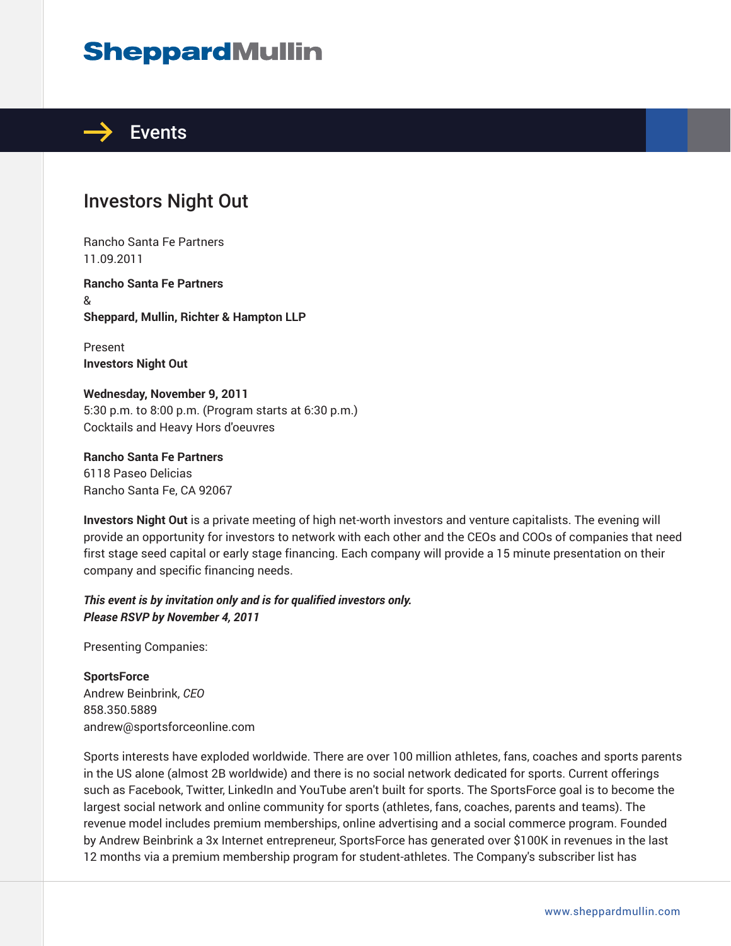# **SheppardMullin**



### Investors Night Out

Rancho Santa Fe Partners 11.09.2011

**Rancho Santa Fe Partners** & **Sheppard, Mullin, Richter & Hampton LLP**

Present **Investors Night Out**

**Wednesday, November 9, 2011** 5:30 p.m. to 8:00 p.m. (Program starts at 6:30 p.m.) Cocktails and Heavy Hors d'oeuvres

**Rancho Santa Fe Partners** 6118 Paseo Delicias Rancho Santa Fe, CA 92067

**Investors Night Out** is a private meeting of high net-worth investors and venture capitalists. The evening will provide an opportunity for investors to network with each other and the CEOs and COOs of companies that need first stage seed capital or early stage financing. Each company will provide a 15 minute presentation on their company and specific financing needs.

*This event is by invitation only and is for qualified investors only. Please RSVP by November 4, 2011*

Presenting Companies:

**SportsForce** Andrew Beinbrink, *CEO* 858.350.5889 andrew@sportsforceonline.com

Sports interests have exploded worldwide. There are over 100 million athletes, fans, coaches and sports parents in the US alone (almost 2B worldwide) and there is no social network dedicated for sports. Current offerings such as Facebook, Twitter, LinkedIn and YouTube aren't built for sports. The SportsForce goal is to become the largest social network and online community for sports (athletes, fans, coaches, parents and teams). The revenue model includes premium memberships, online advertising and a social commerce program. Founded by Andrew Beinbrink a 3x Internet entrepreneur, SportsForce has generated over \$100K in revenues in the last 12 months via a premium membership program for student-athletes. The Company's subscriber list has